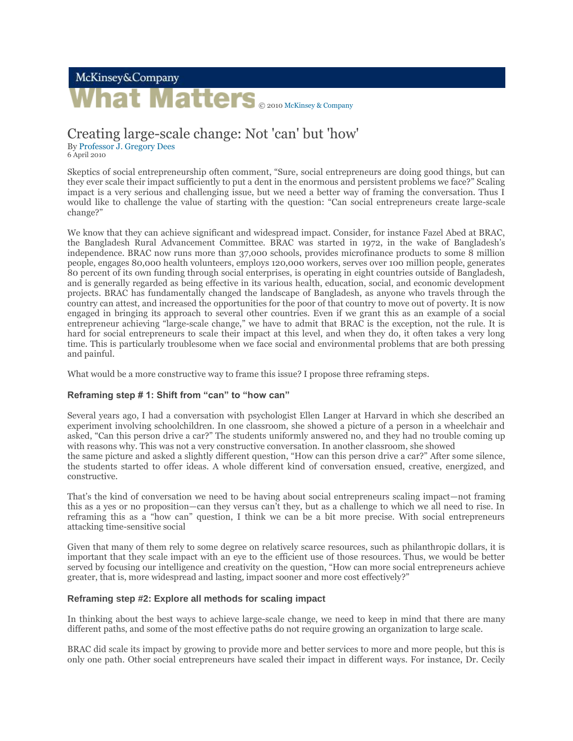# McKinsey&Company hat Matters **@ 2010 McKinsey & Company**

## Creating large-scale change: Not 'can' but 'how'

By Professor J. Gregory Dees

6 April 2010

Skeptics of social entrepreneurship often comment, "Sure, social entrepreneurs are doing good things, but can they ever scale their impact sufficiently to put a dent in the enormous and persistent problems we face?" Scaling impact is a very serious and challenging issue, but we need a better way of framing the conversation. Thus I would like to challenge the value of starting with the question: "Can social entrepreneurs create large-scale change?"

We know that they can achieve significant and widespread impact. Consider, for instance Fazel Abed at BRAC, the Bangladesh Rural Advancement Committee. BRAC was started in 1972, in the wake of Bangladesh's independence. BRAC now runs more than 37,000 schools, provides microfinance products to some 8 million people, engages 80,000 health volunteers, employs 120,000 workers, serves over 100 million people, generates 80 percent of its own funding through social enterprises, is operating in eight countries outside of Bangladesh, and is generally regarded as being effective in its various health, education, social, and economic development projects. BRAC has fundamentally changed the landscape of Bangladesh, as anyone who travels through the country can attest, and increased the opportunities for the poor of that country to move out of poverty. It is now engaged in bringing its approach to several other countries. Even if we grant this as an example of a social entrepreneur achieving "large-scale change," we have to admit that BRAC is the exception, not the rule. It is hard for social entrepreneurs to scale their impact at this level, and when they do, it often takes a very long time. This is particularly troublesome when we face social and environmental problems that are both pressing and painful.

What would be a more constructive way to frame this issue? I propose three reframing steps.

### **Reframing step # 1: Shift from "can" to "how can"**

Several years ago, I had a conversation with psychologist Ellen Langer at Harvard in which she described an experiment involving schoolchildren. In one classroom, she showed a picture of a person in a wheelchair and asked, "Can this person drive a car?" The students uniformly answered no, and they had no trouble coming up with reasons why. This was not a very constructive conversation. In another classroom, she showed the same picture and asked a slightly different question, "How can this person drive a car?" After some silence, the students started to offer ideas. A whole different kind of conversation ensued, creative, energized, and constructive.

That's the kind of conversation we need to be having about social entrepreneurs scaling impact—not framing this as a yes or no proposition—can they versus can't they, but as a challenge to which we all need to rise. In reframing this as a "how can" question, I think we can be a bit more precise. With social entrepreneurs attacking time-sensitive social

Given that many of them rely to some degree on relatively scarce resources, such as philanthropic dollars, it is important that they scale impact with an eye to the efficient use of those resources. Thus, we would be better served by focusing our intelligence and creativity on the question, "How can more social entrepreneurs achieve greater, that is, more widespread and lasting, impact sooner and more cost effectively?"

### **Reframing step #2: Explore all methods for scaling impact**

In thinking about the best ways to achieve large-scale change, we need to keep in mind that there are many different paths, and some of the most effective paths do not require growing an organization to large scale.

BRAC did scale its impact by growing to provide more and better services to more and more people, but this is only one path. Other social entrepreneurs have scaled their impact in different ways. For instance, Dr. Cecily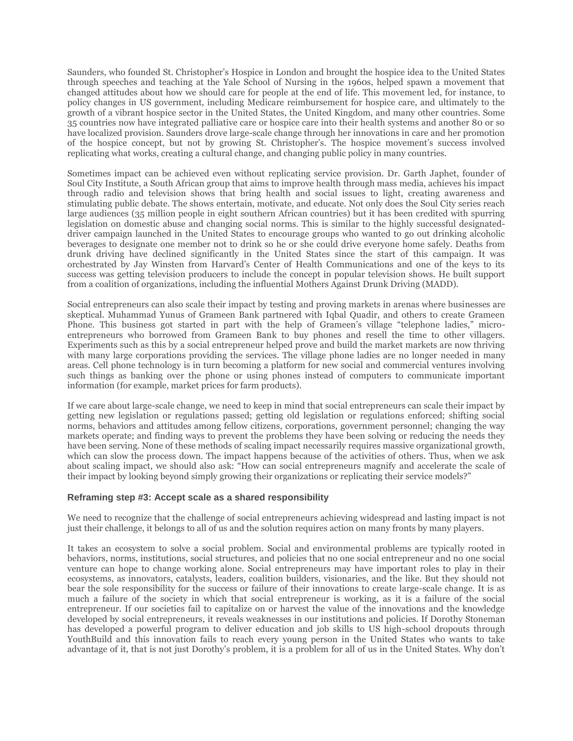Saunders, who founded St. Christopher's Hospice in London and brought the hospice idea to the United States through speeches and teaching at the Yale School of Nursing in the 1960s, helped spawn a movement that changed attitudes about how we should care for people at the end of life. This movement led, for instance, to policy changes in US government, including Medicare reimbursement for hospice care, and ultimately to the growth of a vibrant hospice sector in the United States, the United Kingdom, and many other countries. Some 35 countries now have integrated palliative care or hospice care into their health systems and another 80 or so have localized provision. Saunders drove large-scale change through her innovations in care and her promotion of the hospice concept, but not by growing St. Christopher's. The hospice movement's success involved replicating what works, creating a cultural change, and changing public policy in many countries.

Sometimes impact can be achieved even without replicating service provision. Dr. Garth Japhet, founder of Soul City Institute, a South African group that aims to improve health through mass media, achieves his impact through radio and television shows that bring health and social issues to light, creating awareness and stimulating public debate. The shows entertain, motivate, and educate. Not only does the Soul City series reach large audiences (35 million people in eight southern African countries) but it has been credited with spurring legislation on domestic abuse and changing social norms. This is similar to the highly successful designateddriver campaign launched in the United States to encourage groups who wanted to go out drinking alcoholic beverages to designate one member not to drink so he or she could drive everyone home safely. Deaths from drunk driving have declined significantly in the United States since the start of this campaign. It was orchestrated by Jay Winsten from Harvard's Center of Health Communications and one of the keys to its success was getting television producers to include the concept in popular television shows. He built support from a coalition of organizations, including the influential Mothers Against Drunk Driving (MADD).

Social entrepreneurs can also scale their impact by testing and proving markets in arenas where businesses are skeptical. Muhammad Yunus of Grameen Bank partnered with Iqbal Quadir, and others to create Grameen Phone. This business got started in part with the help of Grameen's village "telephone ladies," microentrepreneurs who borrowed from Grameen Bank to buy phones and resell the time to other villagers. Experiments such as this by a social entrepreneur helped prove and build the market markets are now thriving with many large corporations providing the services. The village phone ladies are no longer needed in many areas. Cell phone technology is in turn becoming a platform for new social and commercial ventures involving such things as banking over the phone or using phones instead of computers to communicate important information (for example, market prices for farm products).

If we care about large-scale change, we need to keep in mind that social entrepreneurs can scale their impact by getting new legislation or regulations passed; getting old legislation or regulations enforced; shifting social norms, behaviors and attitudes among fellow citizens, corporations, government personnel; changing the way markets operate; and finding ways to prevent the problems they have been solving or reducing the needs they have been serving. None of these methods of scaling impact necessarily requires massive organizational growth, which can slow the process down. The impact happens because of the activities of others. Thus, when we ask about scaling impact, we should also ask: "How can social entrepreneurs magnify and accelerate the scale of their impact by looking beyond simply growing their organizations or replicating their service models?"

#### **Reframing step #3: Accept scale as a shared responsibility**

We need to recognize that the challenge of social entrepreneurs achieving widespread and lasting impact is not just their challenge, it belongs to all of us and the solution requires action on many fronts by many players.

It takes an ecosystem to solve a social problem. Social and environmental problems are typically rooted in behaviors, norms, institutions, social structures, and policies that no one social entrepreneur and no one social venture can hope to change working alone. Social entrepreneurs may have important roles to play in their ecosystems, as innovators, catalysts, leaders, coalition builders, visionaries, and the like. But they should not bear the sole responsibility for the success or failure of their innovations to create large-scale change. It is as much a failure of the society in which that social entrepreneur is working, as it is a failure of the social entrepreneur. If our societies fail to capitalize on or harvest the value of the innovations and the knowledge developed by social entrepreneurs, it reveals weaknesses in our institutions and policies. If Dorothy Stoneman has developed a powerful program to deliver education and job skills to US high-school dropouts through YouthBuild and this innovation fails to reach every young person in the United States who wants to take advantage of it, that is not just Dorothy's problem, it is a problem for all of us in the United States. Why don't